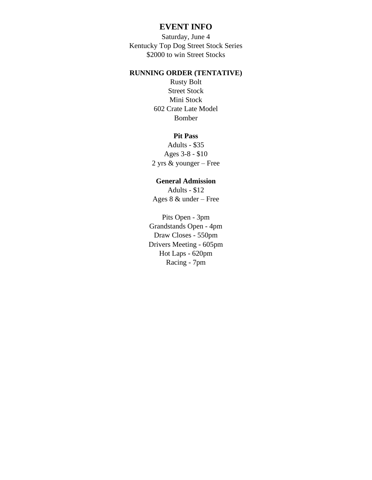## **EVENT INFO**

Saturday, June 4 Kentucky Top Dog Street Stock Series \$2000 to win Street Stocks

## **RUNNING ORDER (TENTATIVE)**

Rusty Bolt Street Stock Mini Stock 602 Crate Late Model Bomber

## **Pit Pass**

Adults - \$35 Ages 3-8 - \$10 2 yrs & younger – Free

## **General Admission**

Adults - \$12 Ages 8 & under – Free

Pits Open - 3pm Grandstands Open - 4pm Draw Closes - 550pm Drivers Meeting - 605pm Hot Laps - 620pm Racing - 7pm